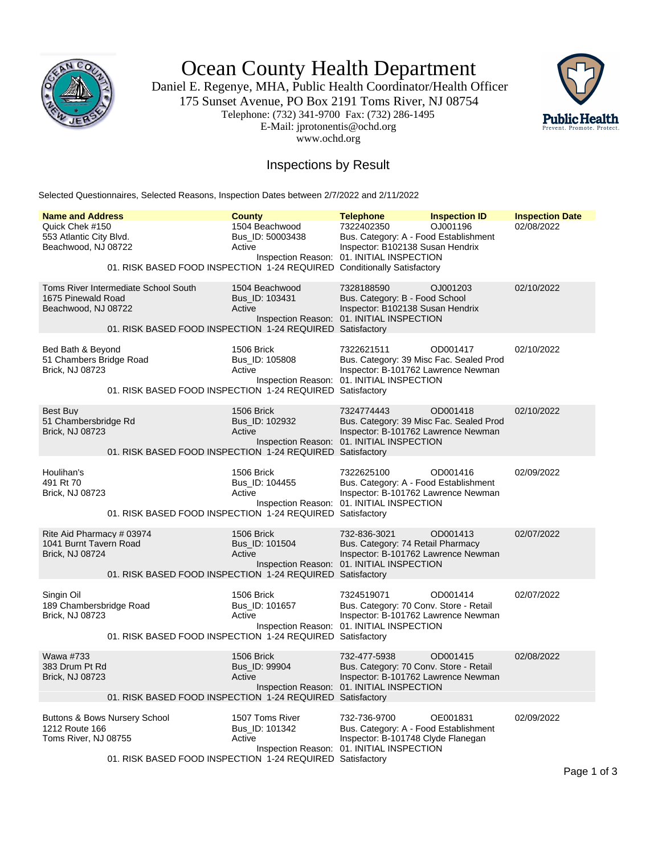

Ocean County Health Department

Daniel E. Regenye, MHA, Public Health Coordinator/Health Officer 175 Sunset Avenue, PO Box 2191 Toms River, NJ 08754 Telephone: (732) 341-9700 Fax: (732) 286-1495 E-Mail: jprotonentis@ochd.org www.ochd.org



## Inspections by Result

Selected Questionnaires, Selected Reasons, Inspection Dates between 2/7/2022 and 2/11/2022

| <b>Name and Address</b>                                                       |                                                                                                   | <b>County</b>                                | <b>Telephone</b>                                                                                                                           | <b>Inspection ID</b> | <b>Inspection Date</b> |
|-------------------------------------------------------------------------------|---------------------------------------------------------------------------------------------------|----------------------------------------------|--------------------------------------------------------------------------------------------------------------------------------------------|----------------------|------------------------|
| Quick Chek #150<br>553 Atlantic City Blvd.<br>Beachwood, NJ 08722             | 01. RISK BASED FOOD INSPECTION 1-24 REQUIRED Conditionally Satisfactory                           | 1504 Beachwood<br>Bus ID: 50003438<br>Active | 7322402350<br>Bus. Category: A - Food Establishment<br>Inspector: B102138 Susan Hendrix<br>Inspection Reason: 01. INITIAL INSPECTION       | OJ001196             | 02/08/2022             |
| 1675 Pinewald Road<br>Beachwood, NJ 08722                                     | Toms River Intermediate School South<br>01. RISK BASED FOOD INSPECTION 1-24 REQUIRED Satisfactory | 1504 Beachwood<br>Bus ID: 103431<br>Active   | 7328188590<br>Bus. Category: B - Food School<br>Inspector: B102138 Susan Hendrix<br>Inspection Reason: 01. INITIAL INSPECTION              | OJ001203             | 02/10/2022             |
| Bed Bath & Beyond<br>51 Chambers Bridge Road<br>Brick, NJ 08723               | 01. RISK BASED FOOD INSPECTION 1-24 REQUIRED Satisfactory                                         | 1506 Brick<br>Bus_ID: 105808<br>Active       | 7322621511<br>Bus. Category: 39 Misc Fac. Sealed Prod<br>Inspector: B-101762 Lawrence Newman<br>Inspection Reason: 01. INITIAL INSPECTION  | OD001417             | 02/10/2022             |
| Best Buy<br>51 Chambersbridge Rd<br>Brick, NJ 08723                           | 01. RISK BASED FOOD INSPECTION 1-24 REQUIRED Satisfactory                                         | 1506 Brick<br>Bus_ID: 102932<br>Active       | 7324774443<br>Bus. Category: 39 Misc Fac. Sealed Prod<br>Inspector: B-101762 Lawrence Newman<br>Inspection Reason: 01. INITIAL INSPECTION  | OD001418             | 02/10/2022             |
| Houlihan's<br>491 Rt 70<br>Brick, NJ 08723                                    | 01. RISK BASED FOOD INSPECTION 1-24 REQUIRED Satisfactory                                         | 1506 Brick<br>Bus ID: 104455<br>Active       | 7322625100<br>Bus. Category: A - Food Establishment<br>Inspector: B-101762 Lawrence Newman<br>Inspection Reason: 01. INITIAL INSPECTION    | OD001416             | 02/09/2022             |
| Rite Aid Pharmacy # 03974<br>1041 Burnt Tavern Road<br><b>Brick, NJ 08724</b> | 01. RISK BASED FOOD INSPECTION 1-24 REQUIRED Satisfactory                                         | 1506 Brick<br>Bus_ID: 101504<br>Active       | 732-836-3021<br>Bus. Category: 74 Retail Pharmacy<br>Inspector: B-101762 Lawrence Newman<br>Inspection Reason: 01. INITIAL INSPECTION      | OD001413             | 02/07/2022             |
| Singin Oil<br>189 Chambersbridge Road<br>Brick, NJ 08723                      | 01. RISK BASED FOOD INSPECTION 1-24 REQUIRED Satisfactory                                         | 1506 Brick<br>Bus_ID: 101657<br>Active       | 7324519071<br>Bus. Category: 70 Conv. Store - Retail<br>Inspector: B-101762 Lawrence Newman<br>Inspection Reason: 01. INITIAL INSPECTION   | OD001414             | 02/07/2022             |
| Wawa #733<br>383 Drum Pt Rd<br><b>Brick, NJ 08723</b>                         | 01. RISK BASED FOOD INSPECTION 1-24 REQUIRED Satisfactory                                         | 1506 Brick<br>Bus ID: 99904<br>Active        | 732-477-5938<br>Bus. Category: 70 Conv. Store - Retail<br>Inspector: B-101762 Lawrence Newman<br>Inspection Reason: 01. INITIAL INSPECTION | OD001415             | 02/08/2022             |
| Buttons & Bows Nursery School<br>1212 Route 166<br>Toms River, NJ 08755       | 01. RISK BASED FOOD INSPECTION 1-24 REQUIRED Satisfactory                                         | 1507 Toms River<br>Bus_ID: 101342<br>Active  | 732-736-9700<br>Bus. Category: A - Food Establishment<br>Inspector: B-101748 Clyde Flanegan<br>Inspection Reason: 01. INITIAL INSPECTION   | OE001831             | 02/09/2022             |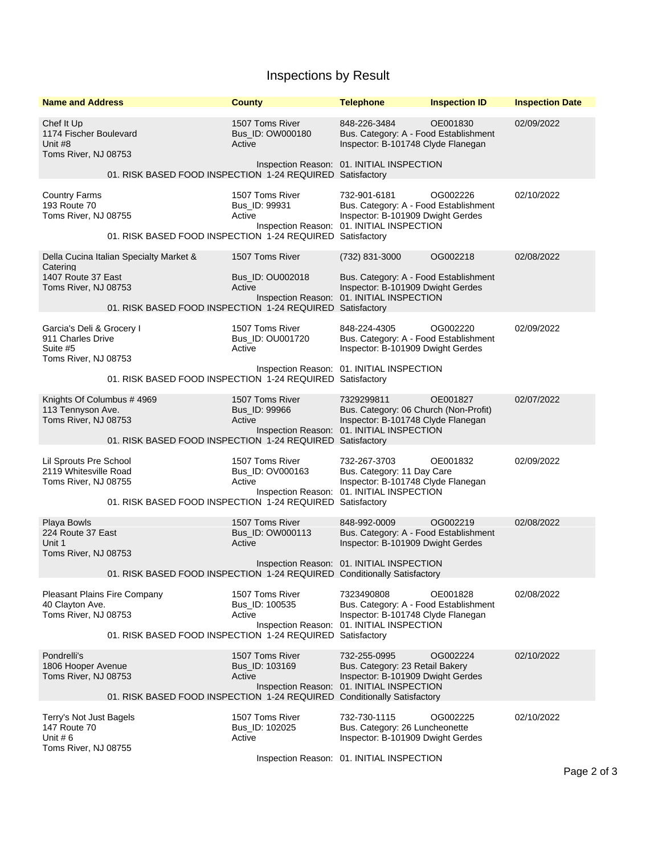## Inspections by Result

| <b>Name and Address</b>                                                                                                                     | <b>County</b>                                 | <b>Telephone</b>                                                                                                                        | <b>Inspection ID</b> | <b>Inspection Date</b> |
|---------------------------------------------------------------------------------------------------------------------------------------------|-----------------------------------------------|-----------------------------------------------------------------------------------------------------------------------------------------|----------------------|------------------------|
| Chef It Up<br>1174 Fischer Boulevard<br>Unit #8<br>Toms River, NJ 08753                                                                     | 1507 Toms River<br>Bus_ID: OW000180<br>Active | 848-226-3484<br>Bus. Category: A - Food Establishment<br>Inspector: B-101748 Clyde Flanegan                                             | OE001830             | 02/09/2022             |
| 01. RISK BASED FOOD INSPECTION 1-24 REQUIRED Satisfactory                                                                                   | Inspection Reason: 01. INITIAL INSPECTION     |                                                                                                                                         |                      |                        |
| <b>Country Farms</b><br>193 Route 70<br>Toms River, NJ 08755<br>01. RISK BASED FOOD INSPECTION 1-24 REQUIRED Satisfactory                   | 1507 Toms River<br>Bus_ID: 99931<br>Active    | 732-901-6181<br>Bus. Category: A - Food Establishment<br>Inspector: B-101909 Dwight Gerdes<br>Inspection Reason: 01. INITIAL INSPECTION | OG002226             | 02/10/2022             |
| Della Cucina Italian Specialty Market &<br>Catering                                                                                         | 1507 Toms River                               | (732) 831-3000                                                                                                                          | OG002218             | 02/08/2022             |
| 1407 Route 37 East<br>Toms River, NJ 08753<br>01. RISK BASED FOOD INSPECTION 1-24 REQUIRED Satisfactory                                     | Bus_ID: OU002018<br>Active                    | Bus. Category: A - Food Establishment<br>Inspector: B-101909 Dwight Gerdes<br>Inspection Reason: 01. INITIAL INSPECTION                 |                      |                        |
| Garcia's Deli & Grocery I<br>911 Charles Drive<br>Suite #5<br>Toms River, NJ 08753                                                          | 1507 Toms River<br>Bus_ID: OU001720<br>Active | 848-224-4305<br>Bus. Category: A - Food Establishment<br>Inspector: B-101909 Dwight Gerdes                                              | OG002220             | 02/09/2022             |
| 01. RISK BASED FOOD INSPECTION 1-24 REQUIRED Satisfactory                                                                                   |                                               | Inspection Reason: 01. INITIAL INSPECTION                                                                                               |                      |                        |
| Knights Of Columbus #4969<br>113 Tennyson Ave.<br>Toms River, NJ 08753<br>01. RISK BASED FOOD INSPECTION 1-24 REQUIRED Satisfactory         | 1507 Toms River<br>Bus_ID: 99966<br>Active    | 7329299811<br>Bus. Category: 06 Church (Non-Profit)<br>Inspector: B-101748 Clyde Flanegan<br>Inspection Reason: 01. INITIAL INSPECTION  | OE001827             | 02/07/2022             |
| Lil Sprouts Pre School<br>2119 Whitesville Road<br>Toms River, NJ 08755<br>01. RISK BASED FOOD INSPECTION 1-24 REQUIRED Satisfactory        | 1507 Toms River<br>Bus_ID: OV000163<br>Active | 732-267-3703<br>Bus. Category: 11 Day Care<br>Inspector: B-101748 Clyde Flanegan<br>Inspection Reason: 01. INITIAL INSPECTION           | OE001832             | 02/09/2022             |
| Playa Bowls<br>224 Route 37 East<br>Unit 1<br>Toms River, NJ 08753                                                                          | 1507 Toms River<br>Bus_ID: OW000113<br>Active | 848-992-0009<br>Bus. Category: A - Food Establishment<br>Inspector: B-101909 Dwight Gerdes                                              | OG002219             | 02/08/2022             |
| 01. RISK BASED FOOD INSPECTION 1-24 REQUIRED Conditionally Satisfactory                                                                     |                                               | Inspection Reason: 01. INITIAL INSPECTION                                                                                               |                      |                        |
| <b>Pleasant Plains Fire Company</b><br>40 Clayton Ave.<br>Toms River, NJ 08753<br>01. RISK BASED FOOD INSPECTION 1-24 REQUIRED Satisfactory | 1507 Toms River<br>Bus_ID: 100535<br>Active   | 7323490808<br>Bus. Category: A - Food Establishment<br>Inspector: B-101748 Clyde Flanegan<br>Inspection Reason: 01. INITIAL INSPECTION  | OE001828             | 02/08/2022             |
| Pondrelli's<br>1806 Hooper Avenue<br>Toms River, NJ 08753<br>01. RISK BASED FOOD INSPECTION 1-24 REQUIRED Conditionally Satisfactory        | 1507 Toms River<br>Bus ID: 103169<br>Active   | 732-255-0995<br>Bus. Category: 23 Retail Bakery<br>Inspector: B-101909 Dwight Gerdes<br>Inspection Reason: 01. INITIAL INSPECTION       | OG002224             | 02/10/2022             |
| Terry's Not Just Bagels<br>147 Route 70<br>Unit # $6$<br>Toms River, NJ 08755                                                               | 1507 Toms River<br>Bus_ID: 102025<br>Active   | 732-730-1115<br>Bus. Category: 26 Luncheonette<br>Inspector: B-101909 Dwight Gerdes<br>Inspection Reason: 01. INITIAL INSPECTION        | OG002225             | 02/10/2022             |

Page 2 of 3